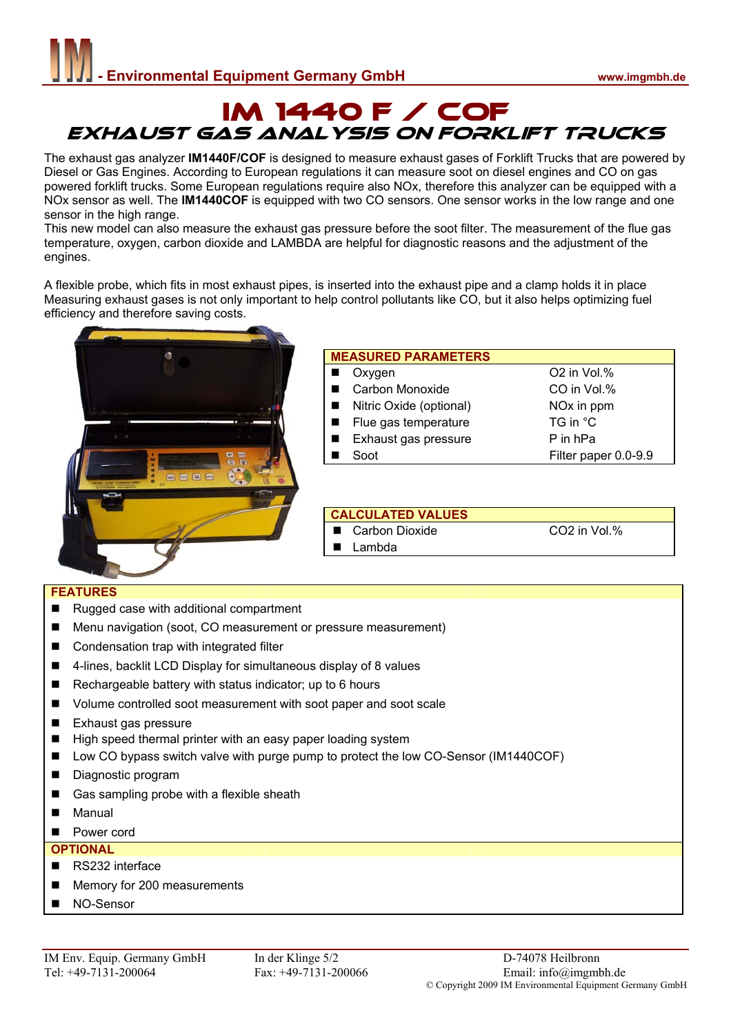# IM 1440 F / COF EXHAUST GAS ANALYsIS ON FORKLIFT TRUCKS

The exhaust gas analyzer **IM1440F/COF** is designed to measure exhaust gases of Forklift Trucks that are powered by Diesel or Gas Engines. According to European regulations it can measure soot on diesel engines and CO on gas powered forklift trucks. Some European regulations require also NOx, therefore this analyzer can be equipped with a NOx sensor as well. The **IM1440COF** is equipped with two CO sensors. One sensor works in the low range and one sensor in the high range.

This new model can also measure the exhaust gas pressure before the soot filter. The measurement of the flue gas temperature, oxygen, carbon dioxide and LAMBDA are helpful for diagnostic reasons and the adjustment of the engines.

A flexible probe, which fits in most exhaust pipes, is inserted into the exhaust pipe and a clamp holds it in place Measuring exhaust gases is not only important to help control pollutants like CO, but it also helps optimizing fuel efficiency and therefore saving costs.



| <b>MEASURED PARAMETERS</b> |                         |  |  |  |  |  |  |
|----------------------------|-------------------------|--|--|--|--|--|--|
| Oxvgen                     | O <sub>2</sub> in Vol.% |  |  |  |  |  |  |
| Carbon Monoxide            | CO in Vol.%             |  |  |  |  |  |  |
| Nitric Oxide (optional)    | NO <sub>x</sub> in ppm  |  |  |  |  |  |  |
| Flue gas temperature       | TG in °C                |  |  |  |  |  |  |
| Exhaust gas pressure       | P in hPa                |  |  |  |  |  |  |
| Soot                       | Filter paper 0.0-9.9    |  |  |  |  |  |  |
|                            |                         |  |  |  |  |  |  |

#### **CALCULATED VALUES**

Lambda

Carbon Dioxide CO2 in Vol.%

#### **FEATURES**

- Rugged case with additional compartment
- Menu navigation (soot, CO measurement or pressure measurement)
- Condensation trap with integrated filter
- 4-lines, backlit LCD Display for simultaneous display of 8 values
- Rechargeable battery with status indicator; up to 6 hours
- Volume controlled soot measurement with soot paper and soot scale
- Exhaust gas pressure
- High speed thermal printer with an easy paper loading system
- Low CO bypass switch valve with purge pump to protect the low CO-Sensor (IM1440COF)
- Diagnostic program
- Gas sampling probe with a flexible sheath
- **Manual**
- **Power cord**

#### **OPTIONAL**

- RS232 interface
- Memory for 200 measurements
- NO-Sensor